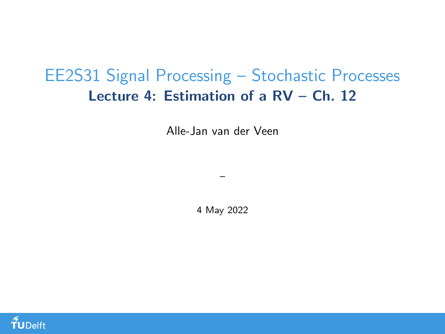## <span id="page-0-0"></span>EE2S31 Signal Processing – Stochastic Processes Lecture 4: Estimation of a RV – Ch. 12

Alle-Jan van der Veen

4 May 2022

–

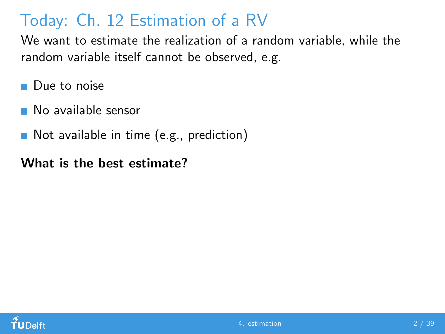# Today: Ch. 12 Estimation of a RV

We want to estimate the realization of a random variable, while the random variable itself cannot be observed, e.g.

- **Due to noise**
- No available sensor
- Not available in time (e.g., prediction)

#### What is the best estimate?

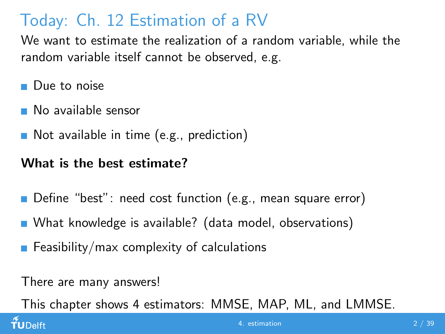# Today: Ch. 12 Estimation of a RV

We want to estimate the realization of a random variable, while the random variable itself cannot be observed, e.g.

- **Due to noise**
- No available sensor
- Not available in time (e.g., prediction)

#### What is the best estimate?

- Define "best": need cost function (e.g., mean square error)
- What knowledge is available? (data model, observations)
- **Feasibility/max complexity of calculations**

There are many answers!

This chapter shows 4 estimators: MMSE, MAP, ML, and LMMSE.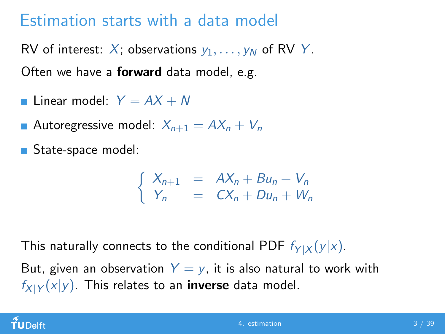## Estimation starts with a data model

RV of interest: X; observations  $y_1, \ldots, y_N$  of RV Y. Often we have a **forward** data model, e.g.

- **Linear model:**  $Y = AX + N$
- Autoregressive model:  $X_{n+1} = AX_n + V_n$
- State-space model:

$$
\begin{cases}\nX_{n+1} = AX_n + Bu_n + V_n \\
Y_n = CX_n + Du_n + W_n\n\end{cases}
$$

This naturally connects to the conditional PDF  $f_{Y|X}(y|x)$ .

But, given an observation  $Y = y$ , it is also natural to work with  $f_{X|Y}(x|y)$ . This relates to an **inverse** data model.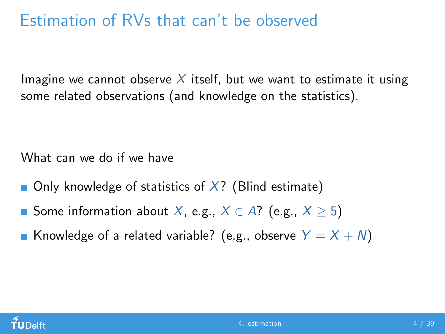## Estimation of RVs that can't be observed

Imagine we cannot observe X itself, but we want to estimate it using some related observations (and knowledge on the statistics).

What can we do if we have

- **Only knowledge of statistics of X?** (Blind estimate)
- Some information about X, e.g.,  $X \in A$ ? (e.g.,  $X > 5$ )
- **K**nowledge of a related variable? (e.g., observe  $Y = X + N$ )

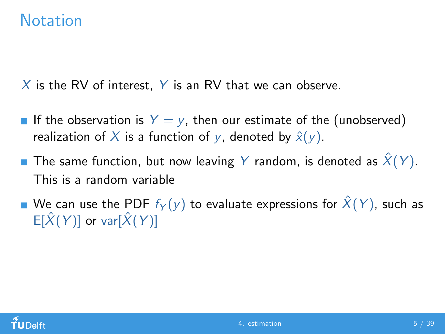#### **Notation**

X is the RV of interest, Y is an RV that we can observe.

- If the observation is  $Y = y$ , then our estimate of the (unobserved) realization of X is a function of y, denoted by  $\hat{x}(y)$ .
- **The same function, but now leaving Y random, is denoted as**  $\hat{X}(Y)$ . This is a random variable
- We can use the PDF  $f_Y(y)$  to evaluate expressions for  $\hat{X}(Y)$ , such as  $E[\hat{X}(Y)]$  or var $[\hat{X}(Y)]$

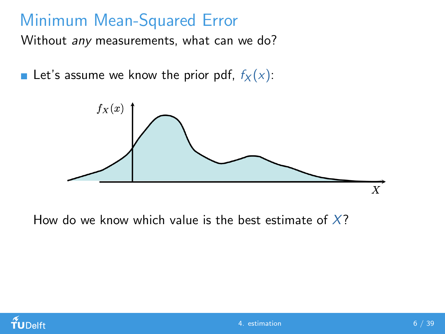## Minimum Mean-Squared Error

Without *any* measurements, what can we do?

Let's assume we know the prior pdf,  $f_X(x)$ :



How do we know which value is the best estimate of  $X$ ?

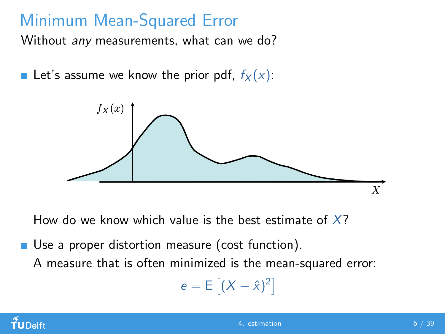# Minimum Mean-Squared Error

Without any measurements, what can we do?

Let's assume we know the prior pdf,  $f_X(x)$ :



How do we know which value is the best estimate of  $X$ ?

Use a proper distortion measure (cost function).

A measure that is often minimized is the mean-squared error:

$$
e = E\left[ (X - \hat{x})^2 \right]
$$

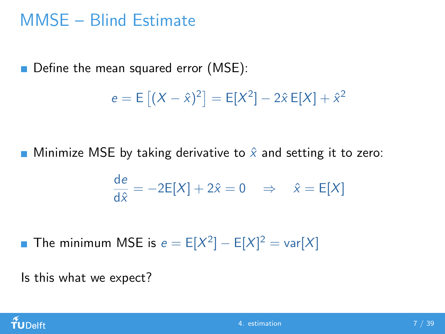## MMSE – Blind Estimate

Define the mean squared error (MSE):

$$
e = E [(X - \hat{x})^2] = E[X^2] - 2\hat{x} E[X] + \hat{x}^2
$$

**Minimize MSE by taking derivative to**  $\hat{x}$  **and setting it to zero:** 

$$
\frac{de}{d\hat{x}} = -2E[X] + 2\hat{x} = 0 \quad \Rightarrow \quad \hat{x} = E[X]
$$

The minimum MSE is  $e = E[X^2] - E[X]^2 = \text{var}[X]$ 

Is this what we expect?

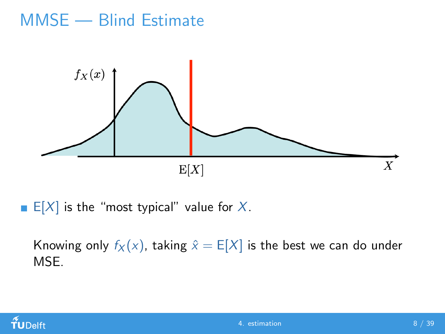## MMSE — Blind Estimate



E[X] is the "most typical" value for  $X$ .

Knowing only  $f_X(x)$ , taking  $\hat{x} = E[X]$  is the best we can do under MSE.

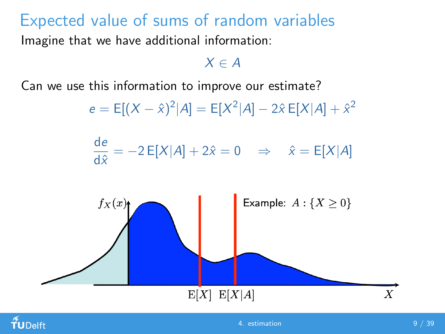## Expected value of sums of random variables

Imagine that we have additional information:

 $X \in A$ 

Can we use this information to improve our estimate?

$$
e = E[(X - \hat{x})^2 | A] = E[X^2 | A] - 2\hat{x} E[X|A] + \hat{x}^2
$$

de  $\frac{\partial z}{\partial \hat{x}} = -2 E[X|A] + 2\hat{x} = 0 \Rightarrow \hat{x} = E[X|A]$ 



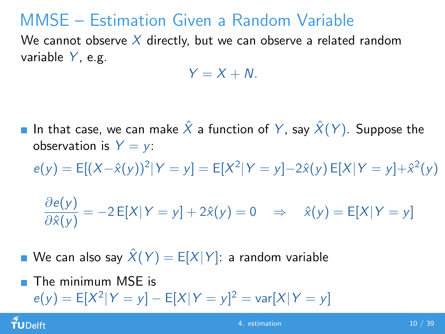## MMSE – Estimation Given a Random Variable

We cannot observe  $X$  directly, but we can observe a related random variable  $Y$ , e.g.

$$
Y=X+N.
$$

- In that case, we can make  $\hat{X}$  a function of Y, say  $\hat{X}(Y)$ . Suppose the observation is  $Y = y$ :
	- $e(y) = E[(X \hat{x}(y))^2 | Y = y] = E[X^2 | Y = y] 2\hat{x}(y) E[X | Y = y] + \hat{x}^2(y)$

$$
\frac{\partial e(y)}{\partial \hat{x}(y)} = -2 \mathsf{E}[X|Y = y] + 2\hat{x}(y) = 0 \quad \Rightarrow \quad \hat{x}(y) = \mathsf{E}[X|Y = y]
$$

We can also say  $\hat{X}(Y) = E[X|Y]$ : a random variable

The minimum MSE is  $\blacksquare$  $e(y) = E[X^2|Y = y] - E[X|Y = y]^2 = \text{var}[X|Y = y]$ 

TUDelft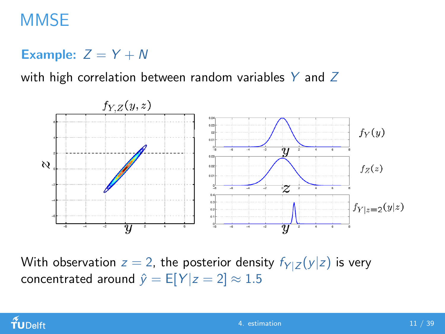## **MMSE**

#### Example:  $Z = Y + N$

with high correlation between random variables  $Y$  and  $Z$ 



With observation  $z = 2$ , the posterior density  $f_{Y|Z}(y|z)$  is very concentrated around  $\hat{y} = E[Y|z = 2] \approx 1.5$ 

#### $f$ UDelft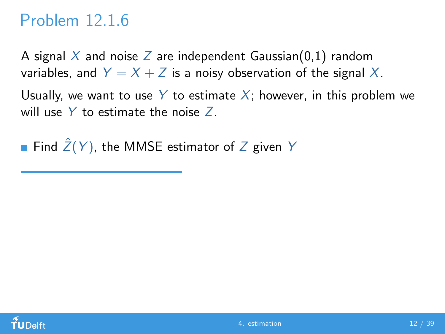## Problem 12.1.6

A signal X and noise Z are independent Gaussian(0,1) random variables, and  $Y = X + Z$  is a noisy observation of the signal X.

Usually, we want to use Y to estimate X; however, in this problem we will use  $Y$  to estimate the noise  $Z$ .

Find  $\hat{Z}(Y)$ , the MMSE estimator of Z given Y

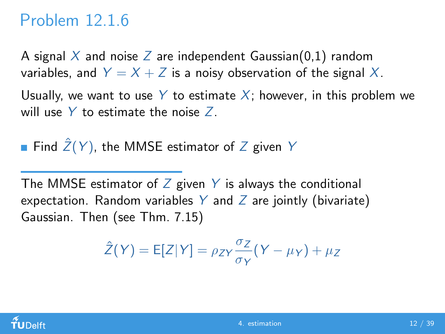#### Problem 12.1.6

A signal X and noise Z are independent Gaussian(0,1) random variables, and  $Y = X + Z$  is a noisy observation of the signal X.

Usually, we want to use Y to estimate X; however, in this problem we will use  $Y$  to estimate the noise  $Z$ .

Find  $\hat{Z}(Y)$ , the MMSE estimator of Z given Y

The MMSE estimator of  $Z$  given  $Y$  is always the conditional expectation. Random variables Y and Z are jointly (bivariate) Gaussian. Then (see Thm. 7.15)

$$
\hat{Z}(Y) = E[Z|Y] = \rho_{ZY} \frac{\sigma_Z}{\sigma_Y} (Y - \mu_Y) + \mu_Z
$$

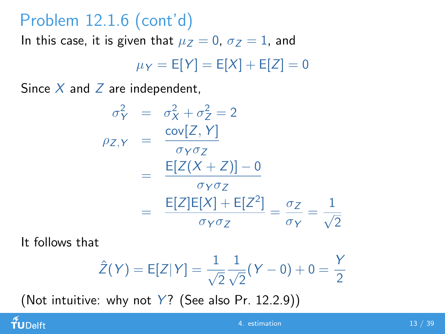## Problem 12.1.6 (cont'd)

In this case, it is given that  $\mu_Z = 0$ ,  $\sigma_Z = 1$ , and

$$
\mu_Y = \mathsf{E}[Y] = \mathsf{E}[X] + \mathsf{E}[Z] = 0
$$

Since  $X$  and  $Z$  are independent,

$$
\sigma_Y^2 = \sigma_X^2 + \sigma_Z^2 = 2
$$
  
\n
$$
\rho_{Z,Y} = \frac{\text{cov}[Z, Y]}{\sigma_Y \sigma_Z}
$$
  
\n
$$
= \frac{E[Z(X+Z)] - 0}{\sigma_Y \sigma_Z}
$$
  
\n
$$
= \frac{E[Z]E[X] + E[Z^2]}{\sigma_Y \sigma_Z} = \frac{\sigma_Z}{\sigma_Y} = \frac{1}{\sqrt{2}}
$$

It follows that

 $f$ UDelft

$$
\hat{Z}(Y) = E[Z|Y] = \frac{1}{\sqrt{2}} \frac{1}{\sqrt{2}} (Y - 0) + 0 = \frac{Y}{2}
$$

(Not intuitive: why not  $Y$ ? (See also Pr. 12.2.9))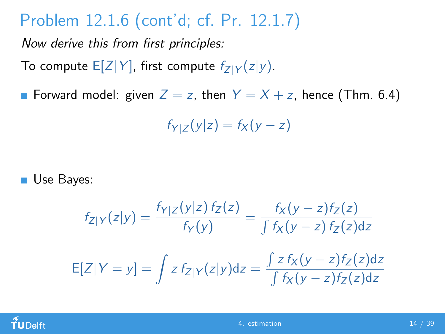# Problem 12.1.6 (cont'd; cf. Pr. 12.1.7)

Now derive this from first principles:

To compute  $E[Z|Y]$ , first compute  $f_{Z|Y}(z|y)$ .

**Forward model:** given  $Z = z$ , then  $Y = X + z$ , hence (Thm. 6.4)

 $f_{Y|Z}(y|z) = f_X(y - z)$ 

Use Bayes:

$$
f_{Z|Y}(z|y) = \frac{f_{Y|Z}(y|z) f_Z(z)}{f_Y(y)} = \frac{f_X(y-z) f_Z(z)}{\int f_X(y-z) f_Z(z) dz}
$$

$$
E[Z|Y=y] = \int z f_{Z|Y}(z|y) dz = \frac{\int z f_X(y-z) f_Z(z) dz}{\int f_X(y-z) f_Z(z) dz}
$$

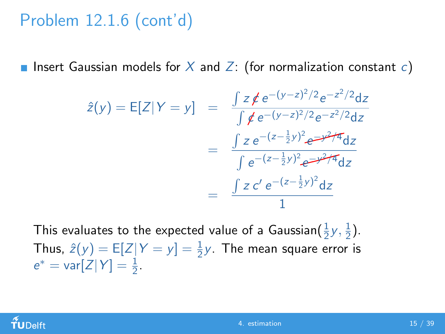# Problem 12.1.6 (cont'd)

**Insert Gaussian models for X and Z:** (for normalization constant c)

$$
\hat{z}(y) = E[Z|Y = y] = \frac{\int z \, \cancel{\ne} e^{-(y-z)^2/2} e^{-z^2/2} dz}{\int \cancel{\ne} e^{-(y-z)^2/2} e^{-z^2/2} dz}
$$

$$
= \frac{\int z e^{-(z-\frac{1}{2}y)^2} e^{-y^2/4} dz}{\int e^{-(z-\frac{1}{2}y)^2} e^{-y^2/4} dz}
$$

$$
= \frac{\int z c' e^{-(z-\frac{1}{2}y)^2} dz}{1}
$$

This evaluates to the expected value of a Gaussian $(\frac{1}{2}y,\frac{1}{2})$  $\frac{1}{2}$ . Thus,  $\hat{z}(y) = E[Z|Y = y] = \frac{1}{2}y$ . The mean square error is  $e^* = \text{var}[Z|Y] = \frac{1}{2}.$ 

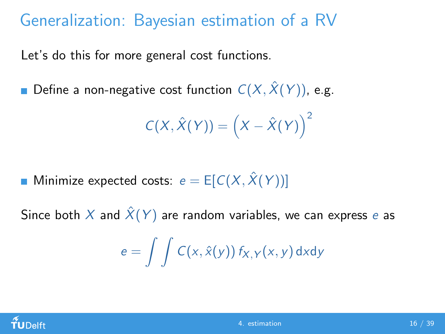## Generalization: Bayesian estimation of a RV

Let's do this for more general cost functions.

**D**efine a non-negative cost function  $C(X, \hat{X}(Y))$ , e.g.

$$
C(X, \hat{X}(Y)) = (X - \hat{X}(Y))^{2}
$$

**Minimize expected costs:**  $e = E[C(X, \hat{X}(Y))]$ 

Since both X and  $\hat{X}(Y)$  are random variables, we can express e as

$$
e = \int \int C(x, \hat{x}(y)) f_{X,Y}(x, y) dxdy
$$

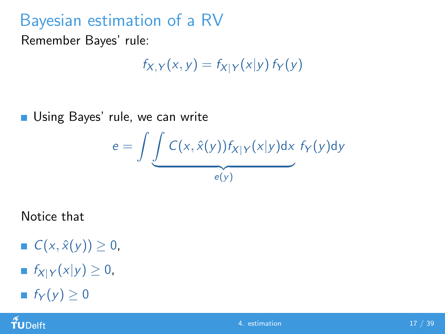## Bayesian estimation of a RV

Remember Bayes' rule:

$$
f_{X,Y}(x,y) = f_{X|Y}(x|y) f_Y(y)
$$

**Using Bayes' rule, we can write** 

$$
e = \int \underbrace{\int C(x, \hat{x}(y)) f_{X|Y}(x|y) dx}_{e(y)} f_{Y}(y) dy
$$

Notice that

 $C(x, \hat{x}(y)) \geq 0$ ,

$$
\blacksquare f_{X|Y}(x|y) \geq 0,
$$

$$
\blacksquare \ f_Y(y) \geq 0
$$

 $f$ UDelft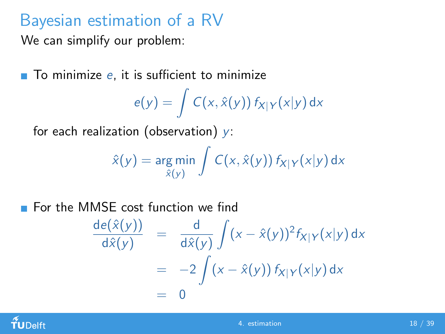## Bayesian estimation of a RV

We can simplify our problem:

 $\blacksquare$  To minimize e, it is sufficient to minimize

$$
e(y) = \int C(x, \hat{x}(y)) f_{X|Y}(x|y) dx
$$

for each realization (observation)  $y$ :

$$
\hat{x}(y) = \underset{\hat{x}(y)}{\arg \min} \int C(x, \hat{x}(y)) f_{X|Y}(x|y) dx
$$

**For the MMSE cost function we find** 

$$
\frac{\mathrm{de}(\hat{x}(y))}{\mathrm{d}\hat{x}(y)} = \frac{\mathrm{d}}{\mathrm{d}\hat{x}(y)} \int (x - \hat{x}(y))^2 f_{X|Y}(x|y) \,\mathrm{d}x
$$
\n
$$
= -2 \int (x - \hat{x}(y)) f_{X|Y}(x|y) \,\mathrm{d}x
$$
\n
$$
= 0
$$

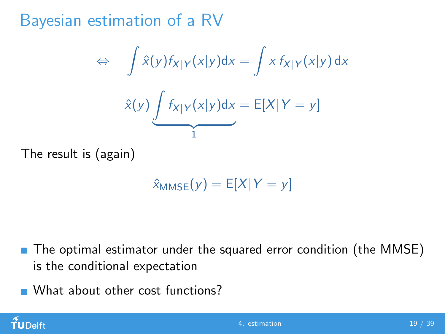Bayesian estimation of a RV

$$
\Leftrightarrow \int \hat{x}(y)f_{X|Y}(x|y)dx = \int x f_{X|Y}(x|y) dx
$$

$$
\hat{x}(y) \underbrace{\int f_{X|Y}(x|y)dx}_{1} = E[X|Y = y]
$$

The result is (again)

 $\hat{x}_{MMSE}(y) = E[X|Y=y]$ 

- The optimal estimator under the squared error condition (the MMSE) is the conditional expectation
- What about other cost functions?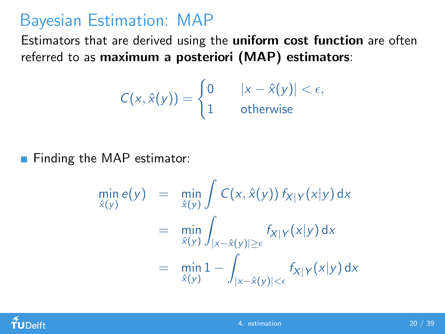#### Bayesian Estimation: MAP

Estimators that are derived using the uniform cost function are often referred to as maximum a posteriori (MAP) estimators:

$$
C(x,\hat{x}(y)) = \begin{cases} 0 & |x-\hat{x}(y)| < \epsilon, \\ 1 & \text{otherwise} \end{cases}
$$

**Finding the MAP estimator:** 

$$
\min_{\hat{x}(y)} e(y) = \min_{\hat{x}(y)} \int C(x, \hat{x}(y)) f_{X|Y}(x|y) dx
$$

$$
= \min_{\hat{x}(y)} \int_{|x-\hat{x}(y)| \ge \epsilon} f_{X|Y}(x|y) dx
$$

$$
= \min_{\hat{x}(y)} 1 - \int_{|x-\hat{x}(y)| < \epsilon} f_{X|Y}(x|y) dx
$$

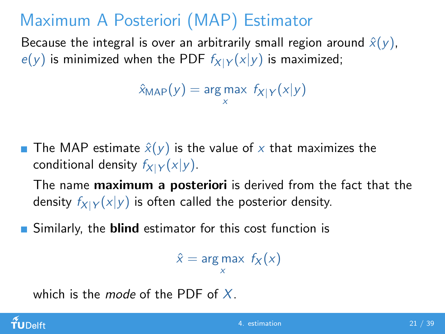# Maximum A Posteriori (MAP) Estimator

Because the integral is over an arbitrarily small region around  $\hat{x}(y)$ ,  $e(y)$  is minimized when the PDF  $f_{X|Y}(x|y)$  is maximized;

```
\hat{x}_{\mathsf{MAP}}(y) = \mathsf{arg\,max}\; \mathit{f}_{X|Y}(x|y)x
```
**The MAP estimate**  $\hat{x}(y)$  **is the value of x that maximizes the** conditional density  $f_{X|Y}(x|y)$ .

The name **maximum a posteriori** is derived from the fact that the density  $f_{X|Y}(x|y)$  is often called the posterior density.

Similarly, the **blind** estimator for this cost function is

 $\hat{x}$  = arg max  $f_X(x)$ x

which is the mode of the PDF of  $X$ .

#### $\rm \tilde{f}$ U $\rm$ Delft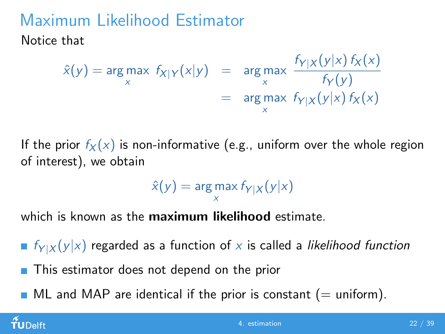# Maximum Likelihood Estimator

Notice that

$$
\hat{x}(y) = \arg \max_{x} f_{X|Y}(x|y) = \arg \max_{x} \frac{f_{Y|X}(y|x) f_X(x)}{f_Y(y)} = \arg \max_{x} f_{Y|X}(y|x) f_X(x)
$$

If the prior  $f_X(x)$  is non-informative (e.g., uniform over the whole region of interest), we obtain

$$
\hat{x}(y) = \argmax_{x} f_{Y|X}(y|x)
$$

which is known as the **maximum likelihood** estimate.

 $\blacksquare$   $f_{Y|X}(y|x)$  regarded as a function of x is called a likelihood function

- **This estimator does not depend on the prior**
- $\blacksquare$  ML and MAP are identical if the prior is constant (= uniform).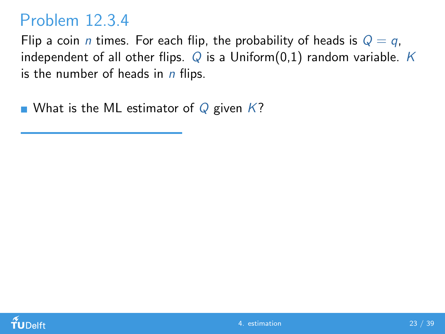#### Problem 12.3.4

Flip a coin *n* times. For each flip, the probability of heads is  $Q = q$ , independent of all other flips.  $Q$  is a Uniform(0,1) random variable. K is the number of heads in  $n$  flips.

What is the ML estimator of  $Q$  given  $K$ ?

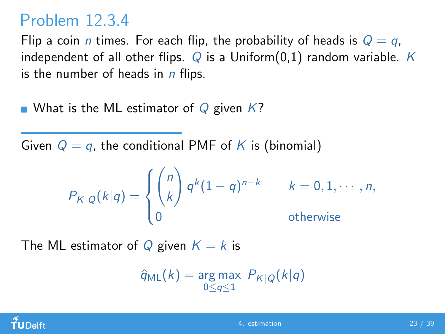#### Problem 12.3.4

Flip a coin *n* times. For each flip, the probability of heads is  $Q = q$ . independent of all other flips.  $Q$  is a Uniform(0,1) random variable. K is the number of heads in  $n$  flips.

What is the ML estimator of Q given  $K$ ?

Given  $Q = q$ , the conditional PMF of K is (binomial)

$$
P_{K|Q}(k|q) = \begin{cases} \binom{n}{k} q^k (1-q)^{n-k} & k = 0, 1, \cdots, n, \\ 0 & \text{otherwise} \end{cases}
$$

The ML estimator of Q given  $K = k$  is

$$
\hat{q}_{\sf ML}(k) = \underset{0 \leq q \leq 1}{\arg \max} \; P_{K|Q}(k|q)
$$

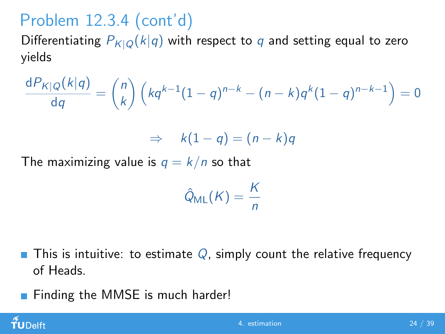# Problem 12.3.4 (cont'd)

Differentiating  $P_{K|Q}(k|q)$  with respect to q and setting equal to zero yields

$$
\frac{dP_{K|Q}(k|q)}{dq} = {n \choose k} \left(kq^{k-1}(1-q)^{n-k} - (n-k)q^{k}(1-q)^{n-k-1}\right) = 0
$$

$$
\Rightarrow k(1-q)=(n-k)q
$$

The maximizing value is  $q = k/n$  so that

$$
\hat{Q}_{ML}(K) = \frac{K}{n}
$$

- $\blacksquare$  This is intuitive: to estimate Q, simply count the relative frequency of Heads.
- **Finding the MMSE is much harder!**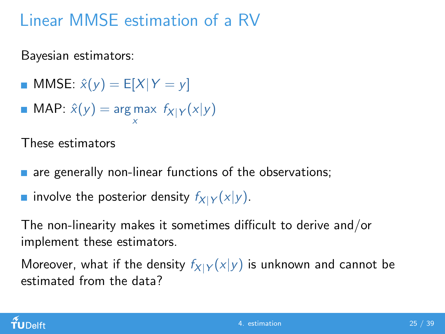# Linear MMSE estimation of a RV

Bayesian estimators:

- **MMSE:**  $\hat{x}(y) = E[X|Y = y]$
- MAP:  $\hat{x}(y) = \argmax f_{X|Y}(x|y)$ x

These estimators

- are generally non-linear functions of the observations;
- involve the posterior density  $f_{X|Y}(x|y)$ .

The non-linearity makes it sometimes difficult to derive and/or implement these estimators.

Moreover, what if the density  $f_{X|Y}(x|y)$  is unknown and cannot be estimated from the data?

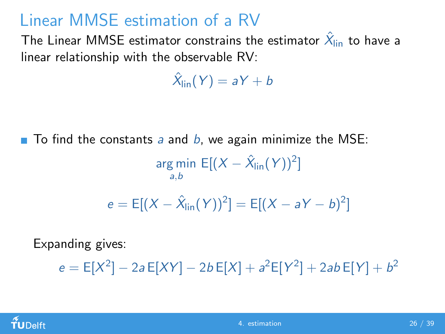## Linear MMSE estimation of a RV

The Linear MMSE estimator constrains the estimator  $\hat{\mathsf{X}}_{\mathsf{lin}}$  to have a linear relationship with the observable RV:

 $\hat{\mathsf{X}}_{\mathsf{lin}}(\mathsf{Y}) = \mathsf{a}\mathsf{Y} + \mathsf{b}$ 

 $\blacksquare$  To find the constants a and b, we again minimize the MSE:

$$
\underset{a,b}{\text{arg min}} \mathsf{E}[(X - \hat{X}_{\text{lin}}(Y))^2]
$$

$$
e = E[(X - \hat{X}_{lin}(Y))^2] = E[(X - aY - b)^2]
$$

Expanding gives:

 $e = \mathsf{E}[X^2] - 2a \mathsf{E}[XY] - 2b \mathsf{E}[X] + a^2 \mathsf{E}[Y^2] + 2ab \mathsf{E}[Y] + b^2$ 

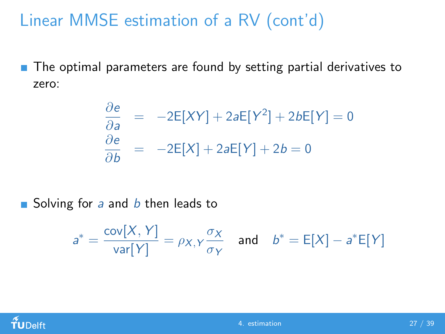# Linear MMSE estimation of a RV (cont'd)

■ The optimal parameters are found by setting partial derivatives to zero:

$$
\frac{\partial e}{\partial a} = -2E[XY] + 2aE[Y^2] + 2bE[Y] = 0
$$
  

$$
\frac{\partial e}{\partial b} = -2E[X] + 2aE[Y] + 2b = 0
$$

Solving for a and  $b$  then leads to

$$
a^* = \frac{\text{cov}[X, Y]}{\text{var}[Y]} = \rho_{X,Y} \frac{\sigma_X}{\sigma_Y} \quad \text{and} \quad b^* = \text{E}[X] - a^* \text{E}[Y]
$$

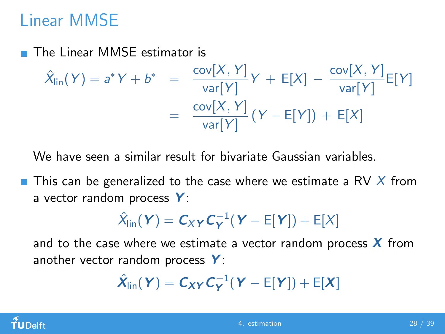## Linear MMSE

 $\overline{\phantom{a}}$ The Linear MMSE estimator is

$$
\hat{X}_{\text{lin}}(Y) = a^*Y + b^* = \frac{\text{cov}[X, Y]}{\text{var}[Y]}Y + E[X] - \frac{\text{cov}[X, Y]}{\text{var}[Y]}E[Y]
$$

$$
= \frac{\text{cov}[X, Y]}{\text{var}[Y]}(Y - E[Y]) + E[X]
$$

We have seen a similar result for bivariate Gaussian variables.

 $\blacksquare$  This can be generalized to the case where we estimate a RV X from a vector random process  $Y$ :

$$
\hat{X}_{lin}(\boldsymbol{Y}) = \boldsymbol{C}_{XY}\boldsymbol{C}_{\boldsymbol{Y}}^{-1}(\boldsymbol{Y} - \boldsymbol{E}[\boldsymbol{Y}]) + \boldsymbol{E}[X]
$$

and to the case where we estimate a vector random process  $\boldsymbol{X}$  from another vector random process  $Y$ :

$$
\hat{\mathbf{X}}_{\text{lin}}(\mathbf{Y}) = \mathbf{C}_{\mathbf{X}\mathbf{Y}} \mathbf{C}_{\mathbf{Y}}^{-1} (\mathbf{Y} - \mathsf{E}[\mathbf{Y}]) + \mathsf{E}[\mathbf{X}]
$$

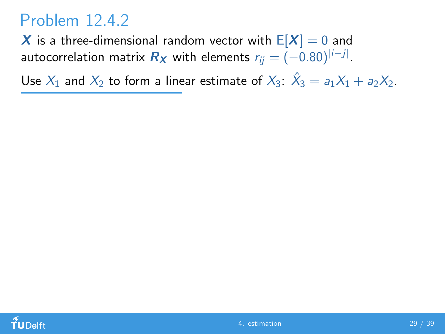#### Problem 12.4.2

X is a three-dimensional random vector with  $E[X] = 0$  and autocorrelation matrix  $\boldsymbol{R}_{\boldsymbol{\mathsf{X}}}$  with elements  $r_{ij} = (-0.80)^{|i-j|}.$ 

Use  $X_1$  and  $X_2$  to form a linear estimate of  $X_3$ :  $\hat{X}_3 = a_1X_1 + a_2X_2$ .

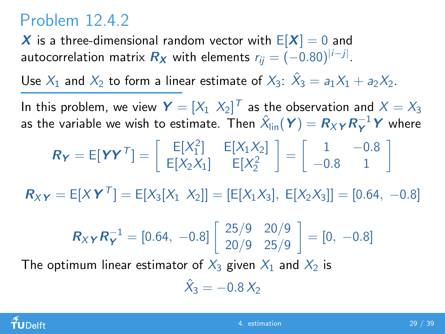## Problem 12.4.2

X is a three-dimensional random vector with  $E[X] = 0$  and autocorrelation matrix  $\boldsymbol{R}_{\boldsymbol{\mathsf{X}}}$  with elements  $r_{ij} = (-0.80)^{|i-j|}.$ 

Use  $X_1$  and  $X_2$  to form a linear estimate of  $X_3$ :  $\hat{X}_3 = a_1X_1 + a_2X_2$ .

In this problem, we view  $\boldsymbol{Y}=[X_1\ \ X_2]^T$  as the observation and  $X=X_3$ as the variable we wish to estimate. Then  $\hat{\chi}^{\,}_{\mathsf{lin}}(\bm{Y}) = \bm{R}_X \bm{\gamma} \bm{R}_{\bm{Y}}^{-1} \bm{Y}$  where

$$
\boldsymbol{R}_{\boldsymbol{Y}} = E[\boldsymbol{Y}\boldsymbol{Y}^{\mathsf{T}}] = \begin{bmatrix} E[X_1^2] & E[X_1X_2] \\ E[X_2X_1] & E[X_2^2 \end{bmatrix} = \begin{bmatrix} 1 & -0.8 \\ -0.8 & 1 \end{bmatrix}
$$

 $R_{XY} = E[XY^T] = E[X_3[X_1 \ X_2]] = [E[X_1X_3], E[X_2X_3]] = [0.64, -0.8]$ 

$$
\boldsymbol{R}_{X\boldsymbol{Y}}\boldsymbol{R}_{\boldsymbol{Y}}^{-1} = [0.64, -0.8] \begin{bmatrix} 25/9 & 20/9 \\ 20/9 & 25/9 \end{bmatrix} = [0, -0.8]
$$

The optimum linear estimator of  $X_3$  given  $X_1$  and  $X_2$  is

$$
\hat{X}_3 = -0.8 X_2
$$

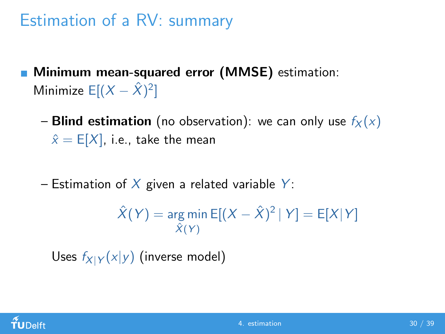## Estimation of a RV: summary

- **Minimum mean-squared error (MMSE)** estimation: Minimize  $E[(X - \hat{X})^2]$ 
	- **Blind estimation** (no observation): we can only use  $f_X(x)$  $\hat{x} = E[X]$ , i.e., take the mean
	- Estimation of X given a related variable Y:

$$
\hat{X}(Y) = \underset{\hat{X}(Y)}{\arg \min} E[(X - \hat{X})^2 | Y] = E[X|Y]
$$

Uses  $f_{X|Y}(x|y)$  (inverse model)

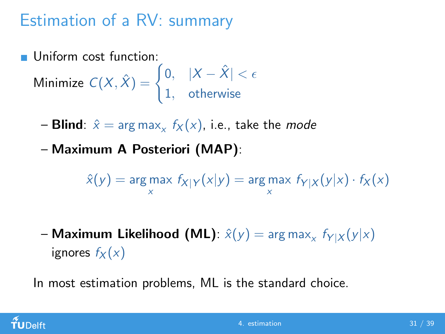# Estimation of a RV: summary

Uniform cost function:

Minimize  $C(X, \hat{X}) = \begin{cases} 0, & |X - \hat{X}| < \epsilon \end{cases}$ 1, otherwise

- **Blind**:  $\hat{x} = \arg \max_{x} f_X(x)$ , i.e., take the *mode*
- Maximum A Posteriori (MAP):

$$
\hat{x}(y) = \arg\max_{x} f_{X|Y}(x|y) = \arg\max_{x} f_{Y|X}(y|x) \cdot f_{X}(x)
$$

– Maximum Likelihood (ML):  $\hat{x}(y) = \mathsf{arg\,max}_x\; f_{Y|X}(y|x)$ ignores  $f_X(x)$ 

In most estimation problems, ML is the standard choice.

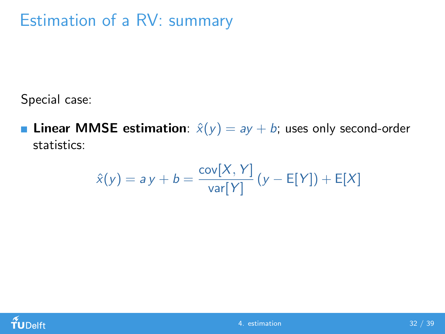## Estimation of a RV: summary

Special case:

**Linear MMSE estimation**:  $\hat{x}(y) = ay + b$ ; uses only second-order statistics:

$$
\hat{x}(y) = ay + b = \frac{\text{cov}[X, Y]}{\text{var}[Y]} (y - \mathsf{E}[Y]) + \mathsf{E}[X]
$$

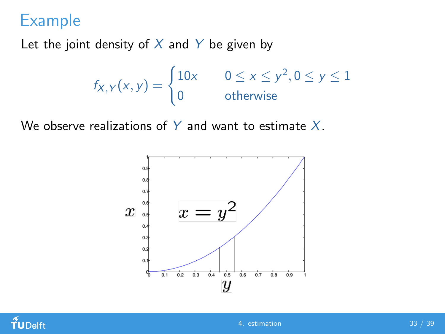Let the joint density of  $X$  and  $Y$  be given by

$$
f_{X,Y}(x,y) = \begin{cases} 10x & 0 \le x \le y^2, 0 \le y \le 1 \\ 0 & \text{otherwise} \end{cases}
$$

We observe realizations of Y and want to estimate  $X$ .



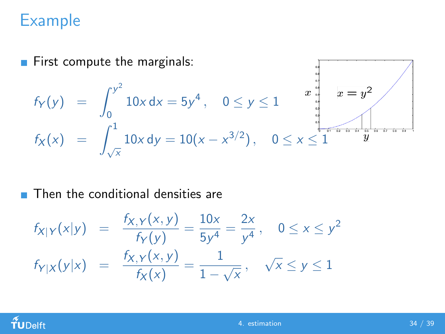First compute the marginals:

$$
f_Y(y) = \int_0^{y^2} 10x \, dx = 5y^4, \quad 0 \le y \le 1
$$
\n
$$
f_X(x) = \int_{\sqrt{x}}^1 10x \, dy = 10(x - x^{3/2}), \quad 0 \le x \le 1
$$

 $0.4$ 

#### **Then the conditional densities are**

$$
f_{X|Y}(x|y) = \frac{f_{X,Y}(x,y)}{f_Y(y)} = \frac{10x}{5y^4} = \frac{2x}{y^4}, \quad 0 \le x \le y^2
$$
  

$$
f_{Y|X}(y|x) = \frac{f_{X,Y}(x,y)}{f_X(x)} = \frac{1}{1-\sqrt{x}}, \quad \sqrt{x} \le y \le 1
$$

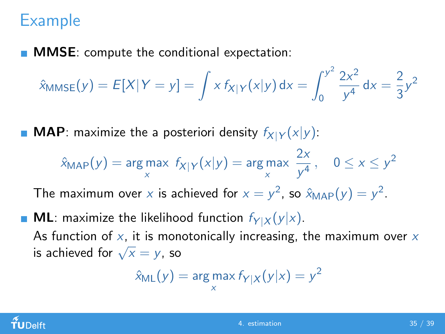**MMSE:** compute the conditional expectation:

$$
\hat{x}_{MMSE}(y) = E[X|Y = y] = \int x f_{X|Y}(x|y) dx = \int_0^{y^2} \frac{2x^2}{y^4} dx = \frac{2}{3}y^2
$$

**MAP**: maximize the a posteriori density  $f_{X|Y}(x|y)$ :

$$
\hat{x}_{MAP}(y) = \underset{x}{\arg \max} \ f_{X|Y}(x|y) = \underset{x}{\arg \max} \ \frac{2x}{y^4}, \quad 0 \le x \le y^2
$$

The maximum over x is achieved for  $x = y^2$ , so  $\hat{x}_{MAP}(y) = y^2$ .

**ML**: maximize the likelihood function  $f_{Y|X}(y|x)$ . As function of  $x$ , it is monotonically increasing, the maximum over  $x$ As function of  $\lambda$ , it is mone-<br>is achieved for  $\sqrt{x} = y$ , so

$$
\hat{x}_{\text{ML}}(y) = \arg\max_{x} f_{Y|X}(y|x) = y^2
$$

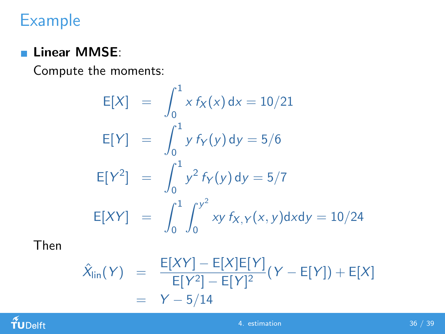#### **Linear MMSE:**

Compute the moments:

$$
E[X] = \int_0^1 x f_X(x) dx = 10/21
$$
  
\n
$$
E[Y] = \int_0^1 y f_Y(y) dy = 5/6
$$
  
\n
$$
E[Y^2] = \int_0^1 y^2 f_Y(y) dy = 5/7
$$
  
\n
$$
E[XY] = \int_0^1 \int_0^{y^2} xy f_{X,Y}(x, y) dx dy = 10/24
$$

Then

$$
\hat{X}_{\text{lin}}(Y) = \frac{E[XY] - E[X]E[Y]}{E[Y^2] - E[Y]^2} (Y - E[Y]) + E[X] \\
= Y - 5/14
$$

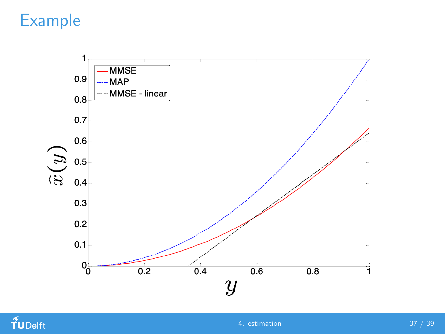

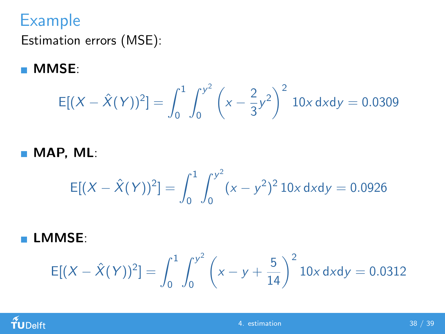Estimation errors (MSE):

**MMSE:** 

$$
E[(X - \hat{X}(Y))^2] = \int_0^1 \int_0^{y^2} \left(x - \frac{2}{3}y^2\right)^2 10x \, dx \, dy = 0.0309
$$

MAP, ML:

$$
E[(X - \hat{X}(Y))^2] = \int_0^1 \int_0^{y^2} (x - y^2)^2 10x \, dxdy = 0.0926
$$

LMMSE:

$$
E[(X - \hat{X}(Y))^2] = \int_0^1 \int_0^{y^2} \left( x - y + \frac{5}{14} \right)^2 10x \, dx \, dy = 0.0312
$$